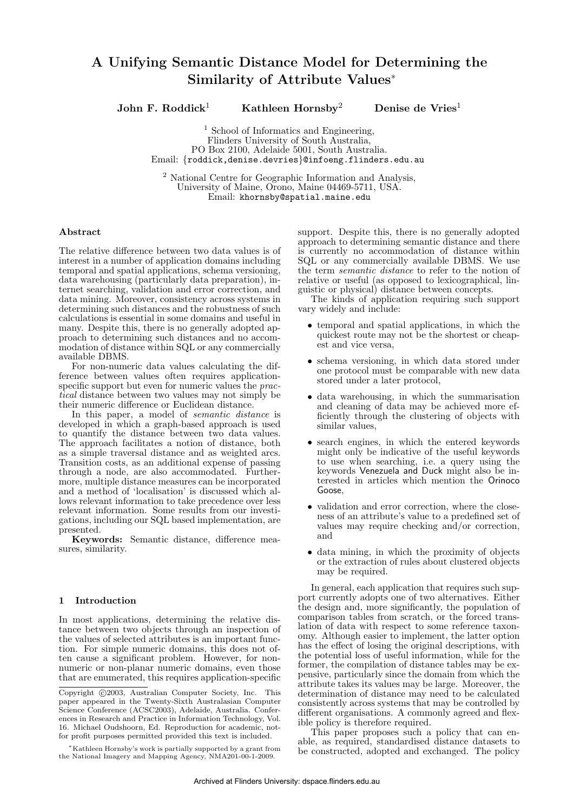# A Unifying Semantic Distance Model for Determining the Similarity of Attribute Values<sup>∗</sup>

John F. Roddick<sup>1</sup> Kathleen Hornsby<sup>2</sup> Denise de Vries<sup>1</sup>

<sup>1</sup> School of Informatics and Engineering, Flinders University of South Australia, PO Box 2100, Adelaide 5001, South Australia. Email: {roddick,denise.devries}@infoeng.flinders.edu.au

<sup>2</sup> National Centre for Geographic Information and Analysis, University of Maine, Orono, Maine 04469-5711, USA. Email: khornsby@spatial.maine.edu

#### Abstract

The relative difference between two data values is of interest in a number of application domains including temporal and spatial applications, schema versioning, data warehousing (particularly data preparation), internet searching, validation and error correction, and data mining. Moreover, consistency across systems in determining such distances and the robustness of such calculations is essential in some domains and useful in many. Despite this, there is no generally adopted approach to determining such distances and no accommodation of distance within SQL or any commercially available DBMS.

For non-numeric data values calculating the difference between values often requires applicationspecific support but even for numeric values the practical distance between two values may not simply be their numeric difference or Euclidean distance.

In this paper, a model of semantic distance is developed in which a graph-based approach is used to quantify the distance between two data values. The approach facilitates a notion of distance, both as a simple traversal distance and as weighted arcs. Transition costs, as an additional expense of passing through a node, are also accommodated. Furthermore, multiple distance measures can be incorporated and a method of 'localisation' is discussed which allows relevant information to take precedence over less relevant information. Some results from our investigations, including our SQL based implementation, are presented.

Keywords: Semantic distance, difference measures, similarity.

#### 1 Introduction

In most applications, determining the relative distance between two objects through an inspection of the values of selected attributes is an important function. For simple numeric domains, this does not often cause a significant problem. However, for nonnumeric or non-planar numeric domains, even those that are enumerated, this requires application-specific support. Despite this, there is no generally adopted approach to determining semantic distance and there is currently no accommodation of distance within SQL or any commercially available DBMS. We use the term semantic distance to refer to the notion of relative or useful (as opposed to lexicographical, linguistic or physical) distance between concepts.

The kinds of application requiring such support vary widely and include:

- temporal and spatial applications, in which the quickest route may not be the shortest or cheapest and vice versa,
- schema versioning, in which data stored under one protocol must be comparable with new data stored under a later protocol,
- data warehousing, in which the summarisation and cleaning of data may be achieved more efficiently through the clustering of objects with similar values,
- search engines, in which the entered keywords might only be indicative of the useful keywords to use when searching, i.e. a query using the keywords Venezuela and Duck might also be interested in articles which mention the Orinoco Goose,
- validation and error correction, where the closeness of an attribute's value to a predefined set of values may require checking and/or correction, and
- data mining, in which the proximity of objects or the extraction of rules about clustered objects may be required.

In general, each application that requires such support currently adopts one of two alternatives. Either the design and, more significantly, the population of comparison tables from scratch, or the forced translation of data with respect to some reference taxonomy. Although easier to implement, the latter option has the effect of losing the original descriptions, with the potential loss of useful information, while for the former, the compilation of distance tables may be expensive, particularly since the domain from which the attribute takes its values may be large. Moreover, the determination of distance may need to be calculated consistently across systems that may be controlled by different organisations. A commonly agreed and flexible policy is therefore required.

This paper proposes such a policy that can enable, as required, standardised distance datasets to be constructed, adopted and exchanged. The policy

Copyright (c) 2003, Australian Computer Society, Inc. This paper appeared in the Twenty-Sixth Australasian Computer Science Conference (ACSC2003), Adelaide, Australia. Conferences in Research and Practice in Information Technology, Vol. 16. Michael Oudshoorn, Ed. Reproduction for academic, notfor profit purposes permitted provided this text is included.

<sup>∗</sup>Kathleen Hornsby's work is partially supported by a grant from the National Imagery and Mapping Agency, NMA201-00-1-2009.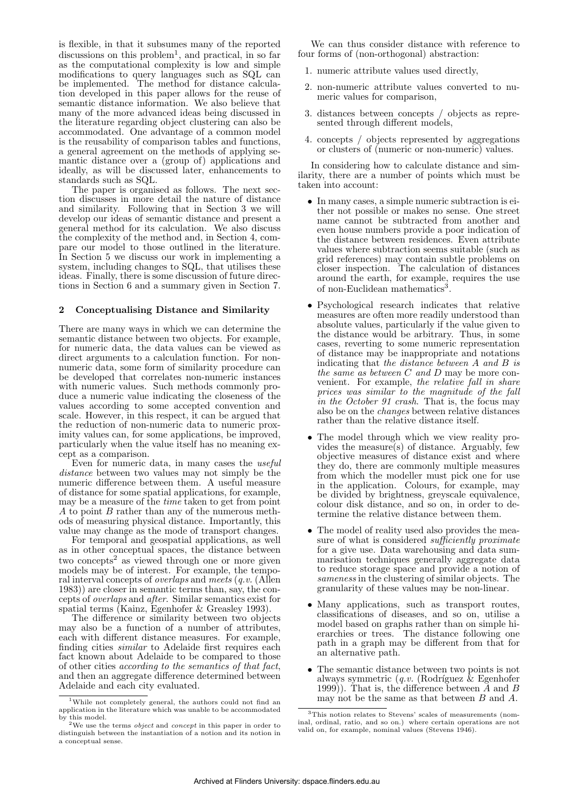is flexible, in that it subsumes many of the reported discussions on this problem<sup>1</sup>, and practical, in so far as the computational complexity is low and simple modifications to query languages such as SQL can be implemented. The method for distance calculation developed in this paper allows for the reuse of semantic distance information. We also believe that many of the more advanced ideas being discussed in the literature regarding object clustering can also be accommodated. One advantage of a common model is the reusability of comparison tables and functions, a general agreement on the methods of applying semantic distance over a (group of) applications and ideally, as will be discussed later, enhancements to standards such as SQL.

The paper is organised as follows. The next section discusses in more detail the nature of distance and similarity. Following that in Section 3 we will develop our ideas of semantic distance and present a general method for its calculation. We also discuss the complexity of the method and, in Section 4, compare our model to those outlined in the literature. In Section 5 we discuss our work in implementing a system, including changes to SQL, that utilises these ideas. Finally, there is some discussion of future directions in Section 6 and a summary given in Section 7.

### 2 Conceptualising Distance and Similarity

There are many ways in which we can determine the semantic distance between two objects. For example, for numeric data, the data values can be viewed as direct arguments to a calculation function. For nonnumeric data, some form of similarity procedure can be developed that correlates non-numeric instances with numeric values. Such methods commonly produce a numeric value indicating the closeness of the values according to some accepted convention and scale. However, in this respect, it can be argued that the reduction of non-numeric data to numeric proximity values can, for some applications, be improved, particularly when the value itself has no meaning except as a comparison.

Even for numeric data, in many cases the useful distance between two values may not simply be the numeric difference between them. A useful measure of distance for some spatial applications, for example, may be a measure of the time taken to get from point A to point B rather than any of the numerous methods of measuring physical distance. Importantly, this value may change as the mode of transport changes.

For temporal and geospatial applications, as well as in other conceptual spaces, the distance between two concepts<sup>2</sup> as viewed through one or more given models may be of interest. For example, the temporal interval concepts of overlaps and meets (q.v. (Allen 1983)) are closer in semantic terms than, say, the concepts of overlaps and after. Similar semantics exist for spatial terms (Kainz, Egenhofer & Greasley 1993).

The difference or similarity between two objects may also be a function of a number of attributes, each with different distance measures. For example, finding cities similar to Adelaide first requires each fact known about Adelaide to be compared to those of other cities according to the semantics of that fact, and then an aggregate difference determined between Adelaide and each city evaluated.

We can thus consider distance with reference to four forms of (non-orthogonal) abstraction:

- 1. numeric attribute values used directly,
- 2. non-numeric attribute values converted to numeric values for comparison,
- 3. distances between concepts / objects as represented through different models,
- 4. concepts / objects represented by aggregations or clusters of (numeric or non-numeric) values.

In considering how to calculate distance and similarity, there are a number of points which must be taken into account:

- In many cases, a simple numeric subtraction is either not possible or makes no sense. One street name cannot be subtracted from another and even house numbers provide a poor indication of the distance between residences. Even attribute values where subtraction seems suitable (such as grid references) may contain subtle problems on closer inspection. The calculation of distances around the earth, for example, requires the use of non-Euclidean mathematics<sup>3</sup>.
- Psychological research indicates that relative measures are often more readily understood than absolute values, particularly if the value given to the distance would be arbitrary. Thus, in some cases, reverting to some numeric representation of distance may be inappropriate and notations indicating that the distance between A and B is the same as between  $C$  and  $D$  may be more convenient. For example, the relative fall in share prices was similar to the magnitude of the fall in the October 91 crash. That is, the focus may also be on the changes between relative distances rather than the relative distance itself.
- The model through which we view reality provides the measure(s) of distance. Arguably, few objective measures of distance exist and where they do, there are commonly multiple measures from which the modeller must pick one for use in the application. Colours, for example, may be divided by brightness, greyscale equivalence, colour disk distance, and so on, in order to determine the relative distance between them.
- The model of reality used also provides the measure of what is considered *sufficiently proximate* for a give use. Data warehousing and data summarisation techniques generally aggregate data to reduce storage space and provide a notion of sameness in the clustering of similar objects. The granularity of these values may be non-linear.
- Many applications, such as transport routes, classifications of diseases, and so on, utilise a model based on graphs rather than on simple hierarchies or trees. The distance following one path in a graph may be different from that for an alternative path.
- The semantic distance between two points is not always symmetric  $(q.v.$  (Rodríguez  $\&$  Egenhofer 1999)). That is, the difference between  $\overline{A}$  and  $\overline{B}$ may not be the same as that between B and A.

<sup>1</sup>While not completely general, the authors could not find an application in the literature which was unable to be accommodated by this model.<br><sup>2</sup>We use the terms *object* and *concept* in this paper in order to

distinguish between the instantiation of a notion and its notion in a conceptual sense.

<sup>3</sup>This notion relates to Stevens' scales of measurements (nominal, ordinal, ratio, and so on.) where certain operations are not valid on, for example, nominal values (Stevens 1946).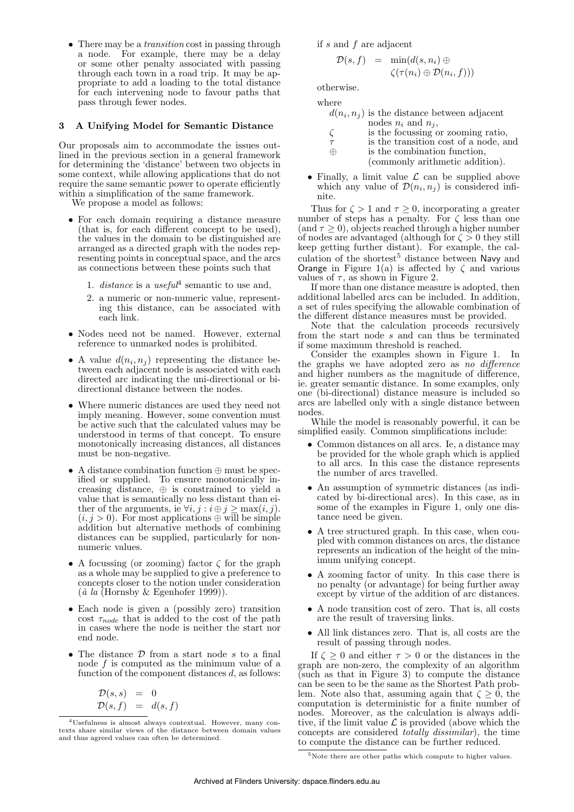• There may be a *transition* cost in passing through a node. For example, there may be a delay or some other penalty associated with passing through each town in a road trip. It may be appropriate to add a loading to the total distance for each intervening node to favour paths that pass through fewer nodes.

# 3 A Unifying Model for Semantic Distance

Our proposals aim to accommodate the issues outlined in the previous section in a general framework for determining the 'distance' between two objects in some context, while allowing applications that do not require the same semantic power to operate efficiently within a simplification of the same framework.

We propose a model as follows:

- For each domain requiring a distance measure (that is, for each different concept to be used), the values in the domain to be distinguished are arranged as a directed graph with the nodes representing points in conceptual space, and the arcs as connections between these points such that
	- 1. distance is a useful<sup>4</sup> semantic to use and,
	- 2. a numeric or non-numeric value, representing this distance, can be associated with each link.
- Nodes need not be named. However, external reference to unmarked nodes is prohibited.
- A value  $d(n_i, n_j)$  representing the distance between each adjacent node is associated with each directed arc indicating the uni-directional or bidirectional distance between the nodes.
- Where numeric distances are used they need not imply meaning. However, some convention must be active such that the calculated values may be understood in terms of that concept. To ensure monotonically increasing distances, all distances must be non-negative.
- A distance combination function ⊕ must be specified or supplied. To ensure monotonically increasing distance,  $\Leftrightarrow$  is constrained to yield a value that is semantically no less distant than either of the arguments, ie  $\forall i, j : i \oplus j \ge \max(i, j)$ .  $(i, j > 0)$ . For most applications  $\oplus$  will be simple addition but alternative methods of combining distances can be supplied, particularly for nonnumeric values.
- A focussing (or zooming) factor  $\zeta$  for the graph as a whole may be supplied to give a preference to concepts closer to the notion under consideration  $(\hat{a} \text{ la (Hornsby & Egenhofer 1999)}).$
- Each node is given a (possibly zero) transition cost  $\tau_{node}$  that is added to the cost of the path in cases where the node is neither the start nor end node.
- The distance  $D$  from a start node  $s$  to a final node f is computed as the minimum value of a function of the component distances d, as follows:

$$
\begin{array}{rcl} \mathcal{D}(s,s) &=& 0 \\ \mathcal{D}(s,f) &=& d(s,f) \end{array}
$$

if s and f are adjacent

$$
\mathcal{D}(s, f) = \min(d(s, n_i) \oplus \langle (\tau(n_i) \oplus \mathcal{D}(n_i, f)) \rangle)
$$

otherwise.

where

- $d(n_i, n_j)$  is the distance between adjacent nodes  $n_i$  and  $n_j$ ,
- $\zeta$  is the focussing or zooming ratio,
- $\tau$  is the transition cost of a node, and  $\oplus$  is the combination function.

⊕ is the combination function, (commonly arithmetic addition).

• Finally, a limit value  $\mathcal L$  can be supplied above which any value of  $\mathcal{D}(n_i, n_j)$  is considered infinite.

Thus for  $\zeta > 1$  and  $\tau \geq 0$ , incorporating a greater number of steps has a penalty. For  $\zeta$  less than one  $(\text{and } \tau > 0)$ , objects reached through a higher number of nodes are advantaged (although for  $\zeta > 0$  they still keep getting further distant). For example, the calculation of the shortest<sup>5</sup> distance between Navy and Orange in Figure 1(a) is affected by  $\zeta$  and various values of  $\tau$ , as shown in Figure 2.

If more than one distance measure is adopted, then additional labelled arcs can be included. In addition, a set of rules specifying the allowable combination of the different distance measures must be provided.

Note that the calculation proceeds recursively from the start node s and can thus be terminated if some maximum threshold is reached.

Consider the examples shown in Figure 1. In the graphs we have adopted zero as no difference and higher numbers as the magnitude of difference, ie. greater semantic distance. In some examples, only one (bi-directional) distance measure is included so arcs are labelled only with a single distance between nodes.

While the model is reasonably powerful, it can be simplified easily. Common simplifications include:

- Common distances on all arcs. Ie, a distance may be provided for the whole graph which is applied to all arcs. In this case the distance represents the number of arcs travelled.
- An assumption of symmetric distances (as indicated by bi-directional arcs). In this case, as in some of the examples in Figure 1, only one distance need be given.
- A tree structured graph. In this case, when coupled with common distances on arcs, the distance represents an indication of the height of the minimum unifying concept.
- A zooming factor of unity. In this case there is no penalty (or advantage) for being further away except by virtue of the addition of arc distances.
- A node transition cost of zero. That is, all costs are the result of traversing links.
- All link distances zero. That is, all costs are the result of passing through nodes.

If  $\zeta \geq 0$  and either  $\tau > 0$  or the distances in the graph are non-zero, the complexity of an algorithm  $\chi$  (such as that in Figure 3) to compute the distance can be seen to be the same as the Shortest Path problem. Note also that, assuming again that  $\zeta \geq 0$ , the computation is deterministic for a finite number of nodes. Moreover, as the calculation is always additive, if the limit value  $\mathcal L$  is provided (above which the concepts are considered totally dissimilar), the time to compute the distance can be further reduced.

<sup>4</sup>Usefulness is almost always contextual. However, many contexts share similar views of the distance between domain values and thus agreed values can often be determined.

<sup>&</sup>lt;sup>5</sup>Note there are other paths which compute to higher values.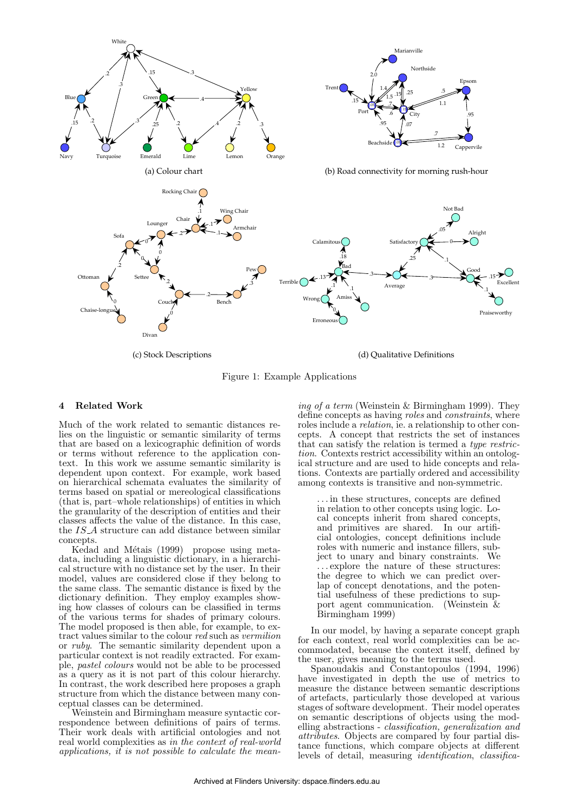

(c) Stock Descriptions

(d) Qualitative Definitions

Figure 1: Example Applications

## 4 Related Work

Much of the work related to semantic distances relies on the linguistic or semantic similarity of terms that are based on a lexicographic definition of words or terms without reference to the application context. In this work we assume semantic similarity is dependent upon context. For example, work based on hierarchical schemata evaluates the similarity of terms based on spatial or mereological classifications (that is, part–whole relationships) of entities in which the granularity of the description of entities and their classes affects the value of the distance. In this case, the IS A structure can add distance between similar concepts.

Kedad and Métais (1999) propose using metadata, including a linguistic dictionary, in a hierarchical structure with no distance set by the user. In their model, values are considered close if they belong to the same class. The semantic distance is fixed by the dictionary definition. They employ examples showing how classes of colours can be classified in terms of the various terms for shades of primary colours. The model proposed is then able, for example, to extract values similar to the colour red such as vermilion or ruby. The semantic similarity dependent upon a particular context is not readily extracted. For example, pastel colours would not be able to be processed as a query as it is not part of this colour hierarchy. In contrast, the work described here proposes a graph structure from which the distance between many conceptual classes can be determined.

Weinstein and Birmingham measure syntactic correspondence between definitions of pairs of terms. Their work deals with artificial ontologies and not real world complexities as in the context of real-world applications, it is not possible to calculate the mean-

ing of a term (Weinstein & Birmingham 1999). They define concepts as having roles and constraints, where roles include a relation, ie. a relationship to other concepts. A concept that restricts the set of instances that can satisfy the relation is termed a type restriction. Contexts restrict accessibility within an ontological structure and are used to hide concepts and relations. Contexts are partially ordered and accessibility among contexts is transitive and non-symmetric.

. . . in these structures, concepts are defined in relation to other concepts using logic. Local concepts inherit from shared concepts, and primitives are shared. In our artificial ontologies, concept definitions include roles with numeric and instance fillers, subject to unary and binary constraints. We . . . explore the nature of these structures: the degree to which we can predict overlap of concept denotations, and the potential usefulness of these predictions to support agent communication. (Weinstein & Birmingham 1999)

In our model, by having a separate concept graph for each context, real world complexities can be accommodated, because the context itself, defined by the user, gives meaning to the terms used.

Spanoudakis and Constantopoulos (1994, 1996) have investigated in depth the use of metrics to measure the distance between semantic descriptions of artefacts, particularly those developed at various stages of software development. Their model operates on semantic descriptions of objects using the modelling abstractions - classification, generalization and attributes. Objects are compared by four partial distance functions, which compare objects at different levels of detail, measuring identification, classifica-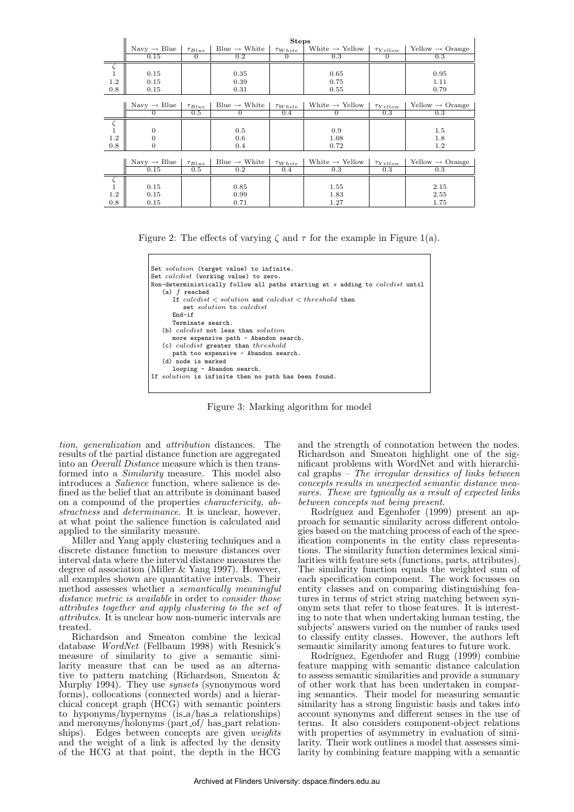|                    | <b>Steps</b>            |               |                          |                |                            |                 |                                           |
|--------------------|-------------------------|---------------|--------------------------|----------------|----------------------------|-----------------|-------------------------------------------|
|                    | Navy $\rightarrow$ Blue | $\tau_{Blue}$ | Blue $\rightarrow$ White | $\tau_{White}$ | White $\rightarrow$ Yellow | $\tau_{Yellow}$ | $\text{Yellow} \rightarrow \text{Orange}$ |
|                    | 0.15                    | $\Omega$      | 0.2                      | $\Omega$       | 0.3                        | $\Omega$        | 0.3                                       |
|                    |                         |               |                          |                |                            |                 |                                           |
| $\mathbf{1}$       | 0.15                    |               | 0.35                     |                | 0.65                       |                 | 0.95                                      |
| 1.2                | 0.15                    |               | 0.39                     |                | 0.75                       |                 | 1.11                                      |
| 0.8                | 0.15                    |               | 0.31                     |                | 0.55                       |                 | 0.79                                      |
|                    |                         |               |                          |                |                            |                 |                                           |
|                    | Navy $\rightarrow$ Blue | $\tau_{Blue}$ | Blue $\rightarrow$ White | $\tau_{White}$ | White $\rightarrow$ Yellow | $\tau_{Yellow}$ | $Yellow \rightarrow Orange$               |
|                    | 0                       | 0.5           | $\theta$                 | 0.4            |                            | 0.3             | 0.3                                       |
|                    |                         |               |                          |                |                            |                 |                                           |
| $\mathbf{1}$       | 0                       |               | 0.5                      |                | 0.9                        |                 | 1.5                                       |
| 1.2                | 0                       |               | 0.6                      |                | 1.08                       |                 | 1.8                                       |
| 0.8                | $\overline{0}$          |               | 0.4                      |                | 0.72                       |                 | 1.2                                       |
|                    |                         |               |                          |                |                            |                 |                                           |
|                    | Navy $\rightarrow$ Blue | $\tau_{Blue}$ | Blue $\rightarrow$ White | $\tau_{White}$ | White $\rightarrow$ Yellow | $\tau_{Yellow}$ | $Yellow \rightarrow Orange$               |
|                    | 0.15                    | 0.5           | 0.2                      | 0.4            | 0.3                        | 0.3             | 0.3                                       |
| $\overline{\zeta}$ |                         |               |                          |                |                            |                 |                                           |
| $\,1\,$            | 0.15                    |               | 0.85                     |                | 1.55                       |                 | 2.15                                      |
| 1.2                | 0.15                    |               | 0.99                     |                | 1.83                       |                 | 2.55                                      |
| 0.8                | 0.15                    |               | 0.71                     |                | 1.27                       |                 | 1.75                                      |

Figure 2: The effects of varying  $\zeta$  and  $\tau$  for the example in Figure 1(a).



Figure 3: Marking algorithm for model

tion, generalization and attribution distances. The results of the partial distance function are aggregated into an Overall Distance measure which is then transformed into a Similarity measure. This model also introduces a Salience function, where salience is defined as the belief that an attribute is dominant based on a compound of the properties charactericity, abstractness and determinance. It is unclear, however, at what point the salience function is calculated and applied to the similarity measure.

Miller and Yang apply clustering techniques and a discrete distance function to measure distances over interval data where the interval distance measures the degree of association (Miller & Yang 1997). However, all examples shown are quantitative intervals. Their method assesses whether a semantically meaningful distance metric is available in order to consider those attributes together and apply clustering to the set of attributes. It is unclear how non-numeric intervals are treated.

Richardson and Smeaton combine the lexical database WordNet (Fellbaum 1998) with Resnick's measure of similarity to give a semantic similarity measure that can be used as an alternative to pattern matching (Richardson, Smeaton & Murphy 1994). They use *synsets* (synonymous word forms), collocations (connected words) and a hierarchical concept graph (HCG) with semantic pointers to hyponyms/hypernyms (is a/has a relationships) and meronyms/holonyms (part\_of/ has\_part relationships). Edges between concepts are given weights and the weight of a link is affected by the density of the HCG at that point, the depth in the HCG

and the strength of connotation between the nodes. Richardson and Smeaton highlight one of the significant problems with WordNet and with hierarchical graphs – The irregular densities of links between concepts results in unexpected semantic distance measures. These are typically as a result of expected links between concepts not being present.

Rodríguez and Egenhofer (1999) present an approach for semantic similarity across different ontologies based on the matching process of each of the specification components in the entity class representations. The similarity function determines lexical similarities with feature sets (functions, parts, attributes). The similarity function equals the weighted sum of each specification component. The work focusses on entity classes and on comparing distinguishing features in terms of strict string matching between synonym sets that refer to those features. It is interesting to note that when undertaking human testing, the subjects' answers varied on the number of ranks used to classify entity classes. However, the authors left semantic similarity among features to future work.

Rodríguez, Egenhofer and Rugg (1999) combine feature mapping with semantic distance calculation to assess semantic similarities and provide a summary of other work that has been undertaken in comparing semantics. Their model for measuring semantic similarity has a strong linguistic basis and takes into account synonyms and different senses in the use of terms. It also considers component-object relations with properties of asymmetry in evaluation of similarity. Their work outlines a model that assesses similarity by combining feature mapping with a semantic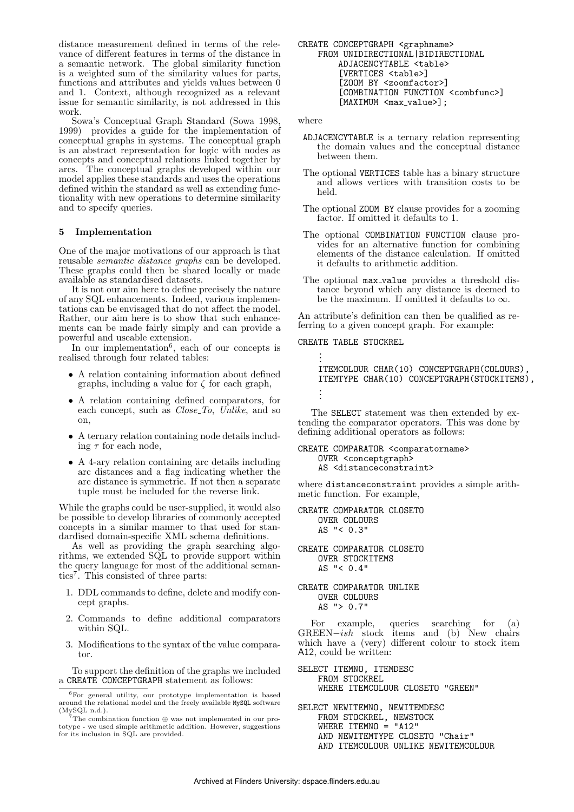distance measurement defined in terms of the relevance of different features in terms of the distance in a semantic network. The global similarity function is a weighted sum of the similarity values for parts, functions and attributes and yields values between 0 and 1. Context, although recognized as a relevant issue for semantic similarity, is not addressed in this work.

Sowa's Conceptual Graph Standard (Sowa 1998, 1999) provides a guide for the implementation of conceptual graphs in systems. The conceptual graph is an abstract representation for logic with nodes as concepts and conceptual relations linked together by arcs. The conceptual graphs developed within our model applies these standards and uses the operations defined within the standard as well as extending functionality with new operations to determine similarity and to specify queries.

#### 5 Implementation

One of the major motivations of our approach is that reusable semantic distance graphs can be developed. These graphs could then be shared locally or made available as standardised datasets.

It is not our aim here to define precisely the nature of any SQL enhancements. Indeed, various implementations can be envisaged that do not affect the model. Rather, our aim here is to show that such enhancements can be made fairly simply and can provide a powerful and useable extension.

In our implementation<sup>6</sup>, each of our concepts is realised through four related tables:

- A relation containing information about defined graphs, including a value for  $\zeta$  for each graph,
- A relation containing defined comparators, for each concept, such as  $Close\_To$ , Unlike, and so on,
- A ternary relation containing node details including  $\tau$  for each node,
- A 4-ary relation containing arc details including arc distances and a flag indicating whether the arc distance is symmetric. If not then a separate tuple must be included for the reverse link.

While the graphs could be user-supplied, it would also be possible to develop libraries of commonly accepted concepts in a similar manner to that used for standardised domain-specific XML schema definitions.

As well as providing the graph searching algorithms, we extended SQL to provide support within the query language for most of the additional semantics<sup>7</sup> . This consisted of three parts:

- 1. DDL commands to define, delete and modify concept graphs.
- 2. Commands to define additional comparators within SQL.
- 3. Modifications to the syntax of the value comparator.

To support the definition of the graphs we included a CREATE CONCEPTGRAPH statement as follows:

CREATE CONCEPTGRAPH <graphname> FROM UNIDIRECTIONAL|BIDIRECTIONAL ADJACENCYTABLE <table> [VERTICES <table>] [ZOOM BY <zoomfactor>] [COMBINATION FUNCTION <combfunc>]  $[MAXIMUM \, ]:$ 

where

- ADJACENCYTABLE is a ternary relation representing the domain values and the conceptual distance between them.
- The optional VERTICES table has a binary structure and allows vertices with transition costs to be held.
- The optional ZOOM BY clause provides for a zooming factor. If omitted it defaults to 1.
- The optional COMBINATION FUNCTION clause provides for an alternative function for combining elements of the distance calculation. If omitted it defaults to arithmetic addition.
- The optional max value provides a threshold distance beyond which any distance is deemed to be the maximum. If omitted it defaults to  $\infty$ .

An attribute's definition can then be qualified as referring to a given concept graph. For example:

CREATE TABLE STOCKREL

.

.

. . ITEMCOLOUR CHAR(10) CONCEPTGRAPH(COLOURS), ITEMTYPE CHAR(10) CONCEPTGRAPH(STOCKITEMS), . .

The SELECT statement was then extended by extending the comparator operators. This was done by defining additional operators as follows:

CREATE COMPARATOR <comparatorname> OVER <conceptgraph> AS <distanceconstraint>

where distanceconstraint provides a simple arithmetic function. For example,

CREATE COMPARATOR CLOSETO OVER COLOURS AS "< 0.3"

CREATE COMPARATOR CLOSETO OVER STOCKITEMS AS "< 0.4"

CREATE COMPARATOR UNLIKE OVER COLOURS AS "> 0.7"

For example, queries searching for (a) GREEN−ish stock items and (b) New chairs which have a (very) different colour to stock item A12, could be written:

- SELECT ITEMNO, ITEMDESC FROM STOCKREL WHERE ITEMCOLOUR CLOSETO "GREEN"
- SELECT NEWITEMNO, NEWITEMDESC FROM STOCKREL, NEWSTOCK WHERE ITEMNO =  $"A12"$ AND NEWITEMTYPE CLOSETO "Chair" AND ITEMCOLOUR UNLIKE NEWITEMCOLOUR

<sup>6</sup>For general utility, our prototype implementation is based around the relational model and the freely available MySQL software

<sup>(</sup>MySQL n.d.).<br><sup>7</sup>The combination function  $\oplus$  was not implemented in our prototype - we used simple arithmetic addition. However, suggestions for its inclusion in SQL are provided.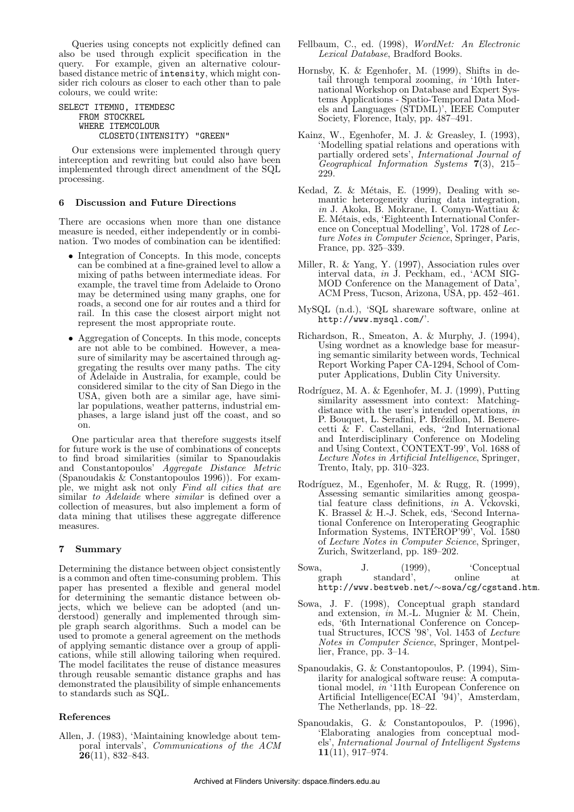Queries using concepts not explicitly defined can also be used through explicit specification in the query. For example, given an alternative colourbased distance metric of intensity, which might consider rich colours as closer to each other than to pale colours, we could write:

## SELECT ITEMNO, ITEMDESC FROM STOCKREL WHERE ITEMCOLOUR CLOSETO(INTENSITY) "GREEN"

Our extensions were implemented through query interception and rewriting but could also have been implemented through direct amendment of the SQL processing.

# 6 Discussion and Future Directions

There are occasions when more than one distance measure is needed, either independently or in combination. Two modes of combination can be identified:

- Integration of Concepts. In this mode, concepts can be combined at a fine-grained level to allow a mixing of paths between intermediate ideas. For example, the travel time from Adelaide to Orono may be determined using many graphs, one for roads, a second one for air routes and a third for rail. In this case the closest airport might not represent the most appropriate route.
- Aggregation of Concepts. In this mode, concepts are not able to be combined. However, a measure of similarity may be ascertained through aggregating the results over many paths. The city of Adelaide in Australia, for example, could be considered similar to the city of San Diego in the USA, given both are a similar age, have similar populations, weather patterns, industrial emphases, a large island just off the coast, and so on.

One particular area that therefore suggests itself for future work is the use of combinations of concepts to find broad similarities (similar to Spanoudakis and Constantopoulos' Aggregate Distance Metric (Spanoudakis & Constantopoulos 1996)). For example, we might ask not only Find all cities that are similar to *Adelaide* where *similar* is defined over a collection of measures, but also implement a form of data mining that utilises these aggregate difference measures.

# 7 Summary

Determining the distance between object consistently is a common and often time-consuming problem. This paper has presented a flexible and general model for determining the semantic distance between objects, which we believe can be adopted (and understood) generally and implemented through simple graph search algorithms. Such a model can be used to promote a general agreement on the methods of applying semantic distance over a group of applications, while still allowing tailoring when required. The model facilitates the reuse of distance measures through reusable semantic distance graphs and has demonstrated the plausibility of simple enhancements to standards such as SQL.

## References

Allen, J. (1983), 'Maintaining knowledge about temporal intervals', Communications of the ACM  $\overline{26}(11), 832 - 843.$ 

- Fellbaum, C., ed. (1998), WordNet: An Electronic Lexical Database, Bradford Books.
- Hornsby, K. & Egenhofer, M. (1999), Shifts in detail through temporal zooming, in '10th International Workshop on Database and Expert Systems Applications - Spatio-Temporal Data Models and Languages (STDML)', IEEE Computer Society, Florence, Italy, pp. 487–491.
- Kainz, W., Egenhofer, M. J. & Greasley, I. (1993), 'Modelling spatial relations and operations with partially ordered sets', International Journal of Geographical Information Systems 7(3), 215– 229.
- Kedad, Z. & Métais, E. (1999), Dealing with semantic heterogeneity during data integration, in J. Akoka, B. Mokrane, I. Comyn-Wattiau & E. Métais, eds, 'Eighteenth International Conference on Conceptual Modelling', Vol. 1728 of Lecture Notes in Computer Science, Springer, Paris, France, pp. 325–339.
- Miller, R. & Yang, Y. (1997), Association rules over interval data, in J. Peckham, ed., 'ACM SIG-MOD Conference on the Management of Data', ACM Press, Tucson, Arizona, USA, pp. 452–461.
- MySQL (n.d.), 'SQL shareware software, online at http://www.mysql.com/'.
- Richardson, R., Smeaton, A. & Murphy, J. (1994), Using wordnet as a knowledge base for measuring semantic similarity between words, Technical Report Working Paper CA-1294, School of Computer Applications, Dublin City University.
- Rodríguez, M. A. & Egenhofer, M. J. (1999), Putting similarity assessment into context: Matchingdistance with the user's intended operations, in P. Bouquet, L. Serafini, P. Brézillon, M. Benerecetti & F. Castellani, eds, '2nd International and Interdisciplinary Conference on Modeling and Using Context, CONTEXT-99', Vol. 1688 of Lecture Notes in Artificial Intelligence, Springer, Trento, Italy, pp.  $310-323$ .
- Rodríguez, M., Egenhofer, M. & Rugg, R. (1999), Assessing semantic similarities among geospatial feature class definitions, in A. Vckovski, K. Brassel & H.-J. Schek, eds, 'Second International Conference on Interoperating Geographic Information Systems, INTEROP'99', Vol. 1580 of Lecture Notes in Computer Science, Springer, Zurich, Switzerland, pp. 189–202.
- Sowa, J. (1999), 'Conceptual<br>graph standard', online at  $graph$  standard', online at http://www.bestweb.net/∼sowa/cg/cgstand.htm.
- Sowa, J. F. (1998), Conceptual graph standard and extension, in M.-L. Mugnier & M. Chein, eds, '6th International Conference on Conceptual Structures, ICCS '98', Vol. 1453 of Lecture Notes in Computer Science, Springer, Montpellier, France, pp. 3–14.
- Spanoudakis, G. & Constantopoulos, P. (1994), Similarity for analogical software reuse: A computational model, in '11th European Conference on Artificial Intelligence(ECAI '94)', Amsterdam, The Netherlands, pp. 18–22.
- Spanoudakis, G. & Constantopoulos, P. (1996), 'Elaborating analogies from conceptual models', International Journal of Intelligent Systems 11(11), 917–974.